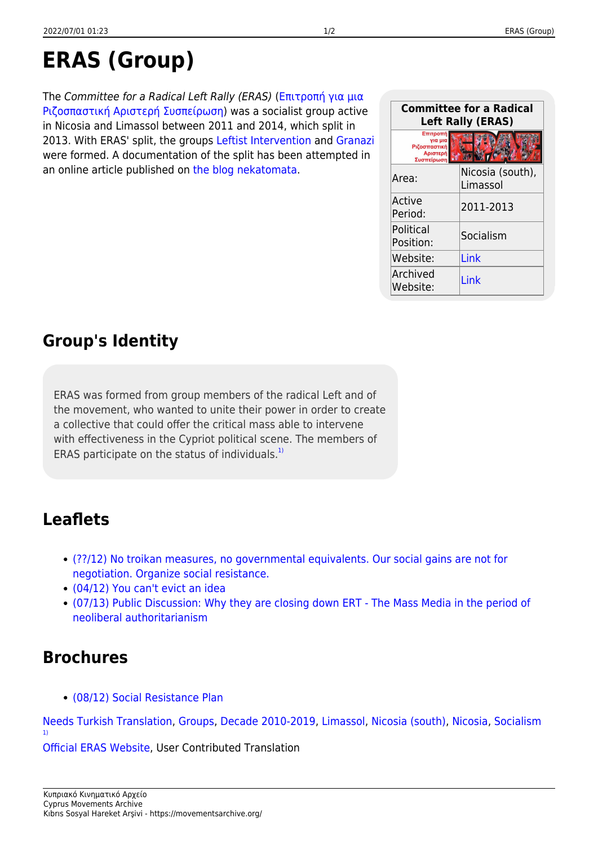# **ERAS (Group)**

The Committee for a Radical Left Rally (ERAS) ([Επιτροπή για μια](https://movementsarchive.org/doku.php?id=el:groups:eras) [Ριζοσπαστική Αριστερή Συσπείρωση\)](https://movementsarchive.org/doku.php?id=el:groups:eras) was a socialist group active in Nicosia and Limassol between 2011 and 2014, which split in 2013. With ERAS' split, the groups [Leftist Intervention](https://movementsarchive.org/doku.php?id=en:groups:paremvasi) and [Granazi](https://movementsarchive.org/doku.php?id=en:groups:granazi) were formed. A documentation of the split has been attempted in an online article published on [the blog nekatomata.](https://movementsarchive.org/doku.php?id=en:digital:nekatomata:history2)

## **Group's Identity**

ERAS was formed from group members of the radical Left and of the movement, who wanted to unite their power in order to create a collective that could offer the critical mass able to intervene with effectiveness in the Cypriot political scene. The members of ERAS participate on the status of individuals.<sup>[1\)](#page--1-0)</sup>

### **Leaflets**

- [\(??/12\) No troikan measures, no governmental equivalents. Our social gains are not for](https://movementsarchive.org/doku.php?id=en:leaflets:eras:eras_troika) [negotiation. Organize social resistance.](https://movementsarchive.org/doku.php?id=en:leaflets:eras:eras_troika)
- [\(04/12\) You can't evict an idea](https://movementsarchive.org/doku.php?id=en:leaflets:eras:eras_obz)
- [\(07/13\) Public Discussion: Why they are closing down ERT The Mass Media in the period of](https://movementsarchive.org/doku.php?id=en:leaflets:eras:eras_ert) [neoliberal authoritarianism](https://movementsarchive.org/doku.php?id=en:leaflets:eras:eras_ert)

#### **Brochures**

[\(08/12\) Social Resistance Plan](https://movementsarchive.org/doku.php?id=en:brochures:eras:eras_manifesto)

[Needs Turkish Translation](https://movementsarchive.org/doku.php?id=condition:needs_translation:needs_turkish_translation&do=showtag&tag=Condition%3ANeeds_Translation%3ANeeds_Turkish_Translation), [Groups](https://movementsarchive.org/doku.php?id=tag:groups&do=showtag&tag=Groups), [Decade 2010-2019](https://movementsarchive.org/doku.php?id=decade:decade_2010-2019&do=showtag&tag=Decade%3ADecade_2010-2019), [Limassol,](https://movementsarchive.org/doku.php?id=areas:limassol&do=showtag&tag=Areas%3ALimassol) [Nicosia \(south\)](https://movementsarchive.org/doku.php?id=areas:nicosia:nicosia_south&do=showtag&tag=Areas%3ANicosia%3ANicosia_%28south%29), [Nicosia,](https://movementsarchive.org/doku.php?id=areas:nicosia&do=showtag&tag=Areas%3ANicosia) [Socialism](https://movementsarchive.org/doku.php?id=ideological_positions:socialism&do=showtag&tag=Ideological_Positions%3ASocialism) [1\)](#page--1-0)

[Official ERAS Website](http://erascy.blogspot.com.cy/2013/02/blog-post_21.html), User Contributed Translation

| <b>Committee for a Radical</b><br><b>Left Rally (ERAS)</b>    |                              |
|---------------------------------------------------------------|------------------------------|
| Επιτροπή<br>νια μια<br>Ριζοσπαστική<br>Αριστερή<br>Συσπείρωση |                              |
| Area:                                                         | Nicosia (south),<br>Limassol |
| Active<br>Period:                                             | 2011-2013                    |
| Political<br>Position:                                        | Socialism                    |
| Website:                                                      | Link                         |
| Archived<br>Website:                                          | l ink                        |